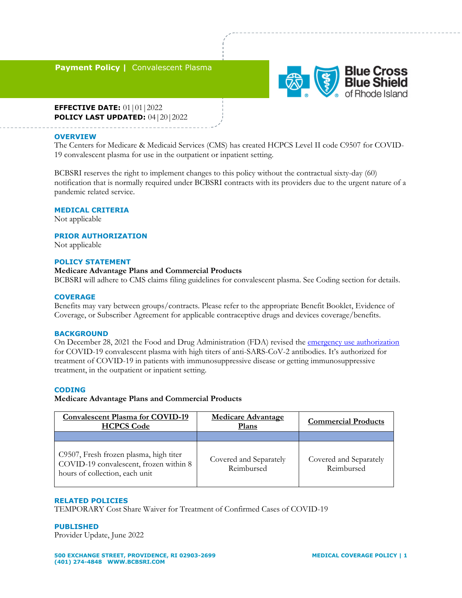# **Payment Policy | Convalescent Plasma**



**EFFECTIVE DATE:** 01 | 01 | 2022 **POLICY LAST UPDATED:** 04|20|2022

### **OVERVIEW**

The Centers for Medicare & Medicaid Services (CMS) has created HCPCS Level II code C9507 for COVID-19 convalescent plasma for use in the outpatient or inpatient setting.

BCBSRI reserves the right to implement changes to this policy without the contractual sixty-day (60) notification that is normally required under BCBSRI contracts with its providers due to the urgent nature of a pandemic related service.

### **MEDICAL CRITERIA**

Not applicable

## **PRIOR AUTHORIZATION**

Not applicable

### **POLICY STATEMENT**

## **Medicare Advantage Plans and Commercial Products**

BCBSRI will adhere to CMS claims filing guidelines for convalescent plasma. See Coding section for details.

#### **COVERAGE**

Benefits may vary between groups/contracts. Please refer to the appropriate Benefit Booklet, Evidence of Coverage, or Subscriber Agreement for applicable contraceptive drugs and devices coverage/benefits.

#### **BACKGROUND**

On December 28, 2021 the Food and Drug Administration (FDA) revised the [emergency use authorization](https://www.fda.gov/media/141477/download) for COVID-19 convalescent plasma with high titers of anti-SARS-CoV-2 antibodies. It's authorized for treatment of COVID-19 in patients with immunosuppressive disease or getting immunosuppressive treatment, in the outpatient or inpatient setting.

### **CODING**

## **Medicare Advantage Plans and Commercial Products**

| <b>Convalescent Plasma for COVID-19</b><br><b>HCPCS Code</b>                                                       | <b>Medicare Advantage</b><br>Plans   | <b>Commercial Products</b>           |
|--------------------------------------------------------------------------------------------------------------------|--------------------------------------|--------------------------------------|
|                                                                                                                    |                                      |                                      |
| C9507, Fresh frozen plasma, high titer<br>COVID-19 convalescent, frozen within 8<br>hours of collection, each unit | Covered and Separately<br>Reimbursed | Covered and Separately<br>Reimbursed |

#### **RELATED POLICIES**

TEMPORARY Cost Share Waiver for Treatment of Confirmed Cases of COVID-19

#### **PUBLISHED**

Provider Update, June 2022